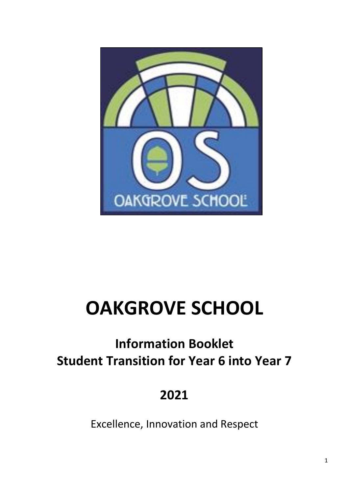

# **OAKGROVE SCHOOL**

## **Information Booklet Student Transition for Year 6 into Year 7**

## **2021**

Excellence, Innovation and Respect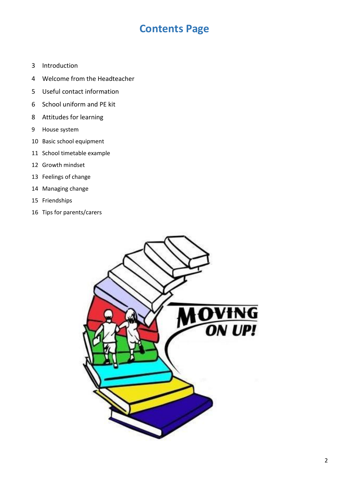### **Contents Page**

- 3 Introduction
- 4 Welcome from the Headteacher
- 5 Useful contact information
- 6 School uniform and PE kit
- 8 Attitudes for learning
- 9 House system
- 10 Basic school equipment
- 11 School timetable example
- 12 Growth mindset
- 13 Feelings of change
- 14 Managing change
- 15 Friendships
- 16 Tips for parents/carers

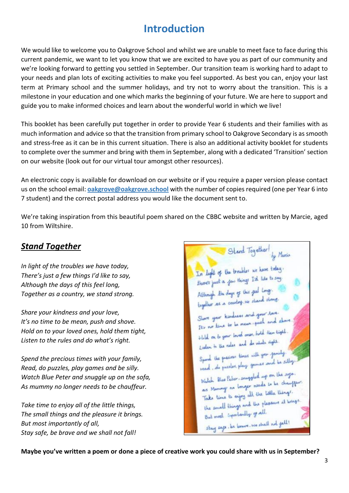## **Introduction**

We would like to welcome you to Oakgrove School and whilst we are unable to meet face to face during this current pandemic, we want to let you know that we are excited to have you as part of our community and we're looking forward to getting you settled in September. Our transition team is working hard to adapt to your needs and plan lots of exciting activities to make you feel supported. As best you can, enjoy your last term at Primary school and the summer holidays, and try not to worry about the transition. This is a milestone in your education and one which marks the beginning of your future. We are here to support and guide you to make informed choices and learn about the wonderful world in which we live!

This booklet has been carefully put together in order to provide Year 6 students and their families with as much information and advice so that the transition from primary school to Oakgrove Secondary is as smooth and stress-free as it can be in this current situation. There is also an additional activity booklet for students to complete over the summer and bring with them in September, along with a dedicated 'Transition' section on our website (look out for our virtual tour amongst other resources).

An electronic copy is available for download on our website or if you require a paper version please contact us on the school email: **[oakgrove@oakgrove.school](mailto:oakgrove@oakgrove.school)** with the number of copies required (one per Year 6 into 7 student) and the correct postal address you would like the document sent to.

We're taking inspiration from this beautiful poem shared on the CBBC website and written by Marcie, aged 10 from Wiltshire.

#### *Stand Together*

*In light of the troubles we have today, There's just a few things I'd like to say, Although the days of this feel long, Together as a country, we stand strong.* 

*Share your kindness and your love, It's no time to be mean, push and shove. Hold on to your loved ones, hold them tight, Listen to the rules and do what's right.*

*Spend the precious times with your family, Read, do puzzles, play games and be silly. Watch Blue Peter and snuggle up on the sofa, As mummy no longer needs to be chauffeur.* 

*Take time to enjoy all of the little things, The small things and the pleasure it brings. But most importantly of all, Stay safe, be brave and we shall not fall!* 

Stand Together! by Marie In light of the troubler we have today. In light of the troubler we have any<br>those just a *few things* Isl like to say.<br>Although the days of this *feel* long. Share your kindness and your love. Share your kindness are get and share.<br>It's no time to be mean speek and share. It's no time to write ones, hold then tight. think on to your investment of which right. Spiral the presions times with your family. Spord the precise town and the silby. Match Blue Peter, snuggled up on the sofo. Watch Blue Peter, snugger needs to be champion.<br>as Muningy no longer needs to be champion. as Muning no longer all the little things.<br>Take time to enjoy all the little things. Take time to enjoy and the pleasure it brings. the small inportantly of all. stay cape, be brown, we shall not fall!

**Maybe you've written a poem or done a piece of creative work you could share with us in September?**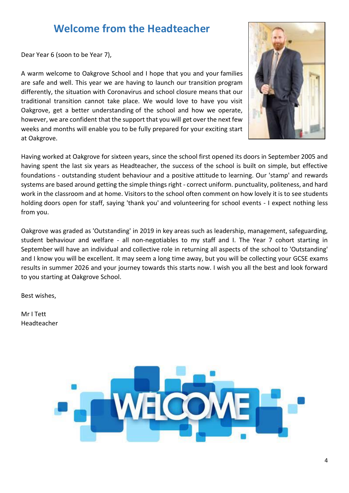## **Welcome from the Headteacher**

Dear Year 6 (soon to be Year 7),

A warm welcome to Oakgrove School and I hope that you and your families are safe and well. This year we are having to launch our transition program differently, the situation with Coronavirus and school closure means that our traditional transition cannot take place. We would love to have you visit Oakgrove, get a better understanding of the school and how we operate, however, we are confident that the support that you will get over the next few weeks and months will enable you to be fully prepared for your exciting start at Oakgrove.



Having worked at Oakgrove for sixteen years, since the school first opened its doors in September 2005 and having spent the last six years as Headteacher, the success of the school is built on simple, but effective foundations - outstanding student behaviour and a positive attitude to learning. Our 'stamp' and rewards systems are based around getting the simple things right - correct uniform. punctuality, politeness, and hard work in the classroom and at home. Visitors to the school often comment on how lovely it is to see students holding doors open for staff, saying 'thank you' and volunteering for school events - I expect nothing less from you.

Oakgrove was graded as 'Outstanding' in 2019 in key areas such as leadership, management, safeguarding, student behaviour and welfare - all non-negotiables to my staff and I. The Year 7 cohort starting in September will have an individual and collective role in returning all aspects of the school to 'Outstanding' and I know you will be excellent. It may seem a long time away, but you will be collecting your GCSE exams results in summer 2026 and your journey towards this starts now. I wish you all the best and look forward to you starting at Oakgrove School.

Best wishes,

Mr I Tett Headteacher

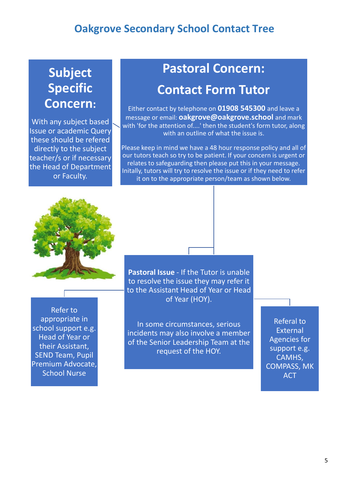## **Subject Specific Concern:**

With any subject based Issue or academic Query these should be refered directly to the subject teacher/s or if necessary the Head of Department or Faculty.

## **Pastoral Concern: Contact Form Tutor**

Either contact by telephone on **01908 545300** and leave a message or email: **oakgrove@oakgrove.school** and mark with 'for the attention of....' then the student's form tutor, along with an outline of what the issue is.

Please keep in mind we have a 48 hour response policy and all of our tutors teach so try to be patient. If your concern is urgent or relates to safeguarding then please put this in your message. Initally, tutors will try to resolve the issue or if they need to refer it on to the appropriate person/team as shown below.



Refer to appropriate in school support e.g. Head of Year or their Assistant, SEND Team, Pupil Premium Advocate, School Nurse

**Pastoral Issue** - If the Tutor is unable to resolve the issue they may refer it to the Assistant Head of Year or Head of Year (HOY).

In some circumstances, serious incidents may also involve a member of the Senior Leadership Team at the request of the HOY.

Referal to **External** Agencies for support e.g. CAMHS, COMPASS, MK **ACT**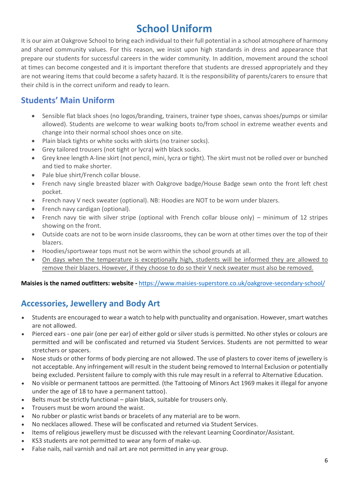## **School Uniform**

It is our aim at Oakgrove School to bring each individual to their full potential in a school atmosphere of harmony and shared community values. For this reason, we insist upon high standards in dress and appearance that prepare our students for successful careers in the wider community. In addition, movement around the school at times can become congested and it is important therefore that students are dressed appropriately and they are not wearing items that could become a safety hazard. It is the responsibility of parents/carers to ensure that their child is in the correct uniform and ready to learn.

#### **Students' Main Uniform**

- Sensible flat black shoes (no logos/branding, trainers, trainer type shoes, canvas shoes/pumps or similar allowed). Students are welcome to wear walking boots to/from school in extreme weather events and change into their normal school shoes once on site.
- Plain black tights or white socks with skirts (no trainer socks).
- Grey tailored trousers (not tight or lycra) with black socks.
- Grey knee length A-line skirt (not pencil, mini, lycra or tight). The skirt must not be rolled over or bunched and tied to make shorter.
- Pale blue shirt/French collar blouse.
- French navy single breasted blazer with Oakgrove badge/House Badge sewn onto the front left chest pocket.
- French navy V neck sweater (optional). NB: Hoodies are NOT to be worn under blazers.
- French navy cardigan (optional).
- French navy tie with silver stripe (optional with French collar blouse only) minimum of 12 stripes showing on the front.
- Outside coats are not to be worn inside classrooms, they can be worn at other times over the top of their blazers.
- Hoodies/sportswear tops must not be worn within the school grounds at all.
- On days when the temperature is exceptionally high, students will be informed they are allowed to remove their blazers. However, if they choose to do so their V neck sweater must also be removed.

#### **Maisies is the named outfitters: website -** <https://www.maisies-superstore.co.uk/oakgrove-secondary-school/>

#### **Accessories, Jewellery and Body Art**

- Students are encouraged to wear a watch to help with punctuality and organisation. However, smart watches are not allowed.
- Pierced ears one pair (one per ear) of either gold or silver studs is permitted. No other styles or colours are permitted and will be confiscated and returned via Student Services. Students are not permitted to wear stretchers or spacers.
- Nose studs or other forms of body piercing are not allowed. The use of plasters to cover items of jewellery is not acceptable. Any infringement will result in the student being removed to Internal Exclusion or potentially being excluded. Persistent failure to comply with this rule may result in a referral to Alternative Education.
- No visible or permanent tattoos are permitted. (the Tattooing of Minors Act 1969 makes it illegal for anyone under the age of 18 to have a permanent tattoo).
- Belts must be strictly functional plain black, suitable for trousers only.
- Trousers must be worn around the waist.
- No rubber or plastic wrist bands or bracelets of any material are to be worn.
- No necklaces allowed. These will be confiscated and returned via Student Services.
- Items of religious jewellery must be discussed with the relevant Learning Coordinator/Assistant.
- KS3 students are not permitted to wear any form of make-up.
- False nails, nail varnish and nail art are not permitted in any year group.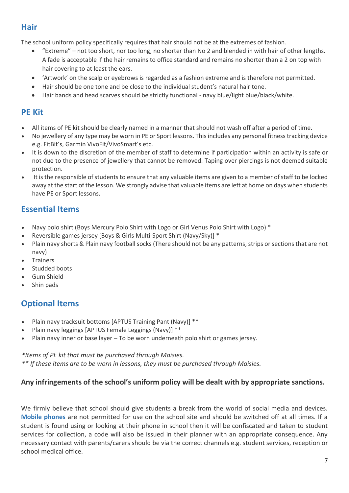#### **Hair**

The school uniform policy specifically requires that hair should not be at the extremes of fashion.

- "Extreme" not too short, nor too long, no shorter than No 2 and blended in with hair of other lengths. A fade is acceptable if the hair remains to office standard and remains no shorter than a 2 on top with hair covering to at least the ears.
- 'Artwork' on the scalp or eyebrows is regarded as a fashion extreme and is therefore not permitted.
- Hair should be one tone and be close to the individual student's natural hair tone.
- Hair bands and head scarves should be strictly functional navy blue/light blue/black/white.

#### **PE Kit**

- All items of PE kit should be clearly named in a manner that should not wash off after a period of time.
- No jewellery of any type may be worn in PE or Sport lessons. This includes any personal fitness tracking device e.g. FitBit's, Garmin VivoFit/VivoSmart's etc.
- It is down to the discretion of the member of staff to determine if participation within an activity is safe or not due to the presence of jewellery that cannot be removed. Taping over piercings is not deemed suitable protection.
- It is the responsible of students to ensure that any valuable items are given to a member of staff to be locked away at the start of the lesson. We strongly advise that valuable items are left at home on days when students have PE or Sport lessons.

#### **Essential Items**

- Navy polo shirt (Boys Mercury Polo Shirt with Logo or Girl Venus Polo Shirt with Logo) \*
- Reversible games jersey [Boys & Girls Multi-Sport Shirt (Navy/Sky)] \*
- Plain navy shorts & Plain navy football socks (There should not be any patterns, strips or sections that are not navy)
- **Trainers**
- Studded boots
- Gum Shield
- Shin pads

### **Optional Items**

- Plain navy tracksuit bottoms [APTUS Training Pant (Navy)] \*\*
- Plain navy leggings [APTUS Female Leggings (Navy)] \*\*
- Plain navy inner or base layer To be worn underneath polo shirt or games jersey.

#### *\*Items of PE kit that must be purchased through Maisies.*

*\*\* If these items are to be worn in lessons, they must be purchased through Maisies.* 

#### **Any infringements of the school's uniform policy will be dealt with by appropriate sanctions.**

We firmly believe that school should give students a break from the world of social media and devices. **Mobile phones** are not permitted for use on the school site and should be switched off at all times. If a student is found using or looking at their phone in school then it will be confiscated and taken to student services for collection, a code will also be issued in their planner with an appropriate consequence. Any necessary contact with parents/carers should be via the correct channels e.g. student services, reception or school medical office.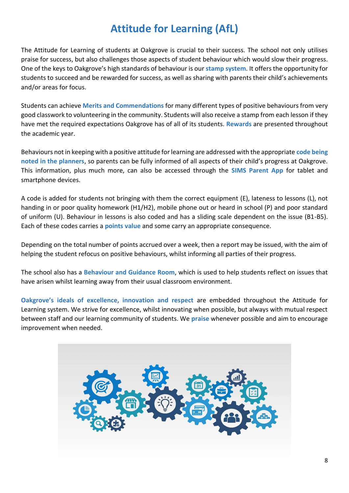## **Attitude for Learning (AfL)**

The Attitude for Learning of students at Oakgrove is crucial to their success. The school not only utilises praise for success, but also challenges those aspects of student behaviour which would slow their progress. One of the keys to Oakgrove's high standards of behaviour is our **stamp system**. It offers the opportunity for students to succeed and be rewarded for success, as well as sharing with parents their child's achievements and/or areas for focus.

Students can achieve **Merits and Commendations** for many different types of positive behaviours from very good classwork to volunteering in the community. Students will also receive a stamp from each lesson if they have met the required expectations Oakgrove has of all of its students. **Rewards** are presented throughout the academic year.

Behaviours not in keeping with a positive attitude for learning are addressed with the appropriate **code being noted in the planners**, so parents can be fully informed of all aspects of their child's progress at Oakgrove. This information, plus much more, can also be accessed through the **SIMS Parent App** for tablet and smartphone devices.

A code is added for students not bringing with them the correct equipment (E), lateness to lessons (L), not handing in or poor quality homework (H1/H2), mobile phone out or heard in school (P) and poor standard of uniform (U). Behaviour in lessons is also coded and has a sliding scale dependent on the issue (B1-B5). Each of these codes carries a **points value** and some carry an appropriate consequence.

Depending on the total number of points accrued over a week, then a report may be issued, with the aim of helping the student refocus on positive behaviours, whilst informing all parties of their progress.

The school also has a **Behaviour and Guidance Room**, which is used to help students reflect on issues that have arisen whilst learning away from their usual classroom environment.

**Oakgrove's ideals of excellence, innovation and respect** are embedded throughout the Attitude for Learning system. We strive for excellence, whilst innovating when possible, but always with mutual respect between staff and our learning community of students. We **praise** whenever possible and aim to encourage improvement when needed.

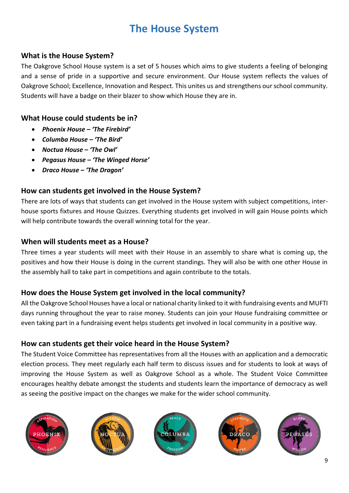## **The House System**

#### **What is the House System?**

The Oakgrove School House system is a set of 5 houses which aims to give students a feeling of belonging and a sense of pride in a supportive and secure environment. Our House system reflects the values of Oakgrove School; Excellence, Innovation and Respect. This unites us and strengthens our school community. Students will have a badge on their blazer to show which House they are in.

#### **What House could students be in?**

- *Phoenix House – 'The Firebird'*
- *Columba House – 'The Bird'*
- *Noctua House – 'The Owl'*
- *Pegasus House – 'The Winged Horse'*
- *Draco House – 'The Dragon'*

#### **How can students get involved in the House System?**

There are lots of ways that students can get involved in the House system with subject competitions, interhouse sports fixtures and House Quizzes. Everything students get involved in will gain House points which will help contribute towards the overall winning total for the year.

#### **When will students meet as a House?**

Three times a year students will meet with their House in an assembly to share what is coming up, the positives and how their House is doing in the current standings. They will also be with one other House in the assembly hall to take part in competitions and again contribute to the totals.

#### **How does the House System get involved in the local community?**

All the Oakgrove School Houses have a local or national charity linked to it with fundraising events and MUFTI days running throughout the year to raise money. Students can join your House fundraising committee or even taking part in a fundraising event helps students get involved in local community in a positive way.

#### **How can students get their voice heard in the House System?**

The Student Voice Committee has representatives from all the Houses with an application and a democratic election process. They meet regularly each half term to discuss issues and for students to look at ways of improving the House System as well as Oakgrove School as a whole. The Student Voice Committee encourages healthy debate amongst the students and students learn the importance of democracy as well as seeing the positive impact on the changes we make for the wider school community.









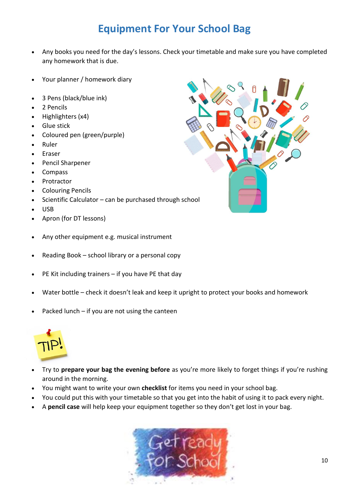## **Equipment For Your School Bag**

- Any books you need for the day's lessons. Check your timetable and make sure you have completed any homework that is due.
- Your planner / homework diary
- 3 Pens (black/blue ink)
- 2 Pencils
- Highlighters (x4)
- **Glue stick**
- Coloured pen (green/purple)
- Ruler
- **Eraser**
- Pencil Sharpener
- Compass
- Protractor
- Colouring Pencils
- Scientific Calculator can be purchased through school
- USB
- Apron (for DT lessons)
- Any other equipment e.g. musical instrument
- Reading Book school library or a personal copy
- PE Kit including trainers  $-$  if you have PE that day
- Water bottle check it doesn't leak and keep it upright to protect your books and homework
- Packed lunch  $-$  if you are not using the canteen



- Try to **prepare your bag the evening before** as you're more likely to forget things if you're rushing around in the morning.
- You might want to write your own **checklist** for items you need in your school bag.
- You could put this with your timetable so that you get into the habit of using it to pack every night.
- A **pencil case** will help keep your equipment together so they don't get lost in your bag.



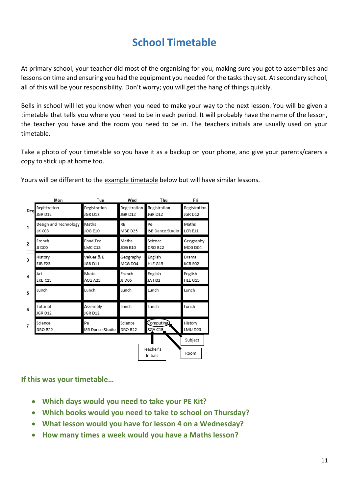## **School Timetable**

At primary school, your teacher did most of the organising for you, making sure you got to assemblies and lessons on time and ensuring you had the equipment you needed for the tasks they set. At secondary school, all of this will be your responsibility. Don't worry; you will get the hang of things quickly.

Bells in school will let you know when you need to make your way to the next lesson. You will be given a timetable that tells you where you need to be in each period. It will probably have the name of the lesson, the teacher you have and the room you need to be in. The teachers initials are usually used on your timetable.

Take a photo of your timetable so you have it as a backup on your phone, and give your parents/carers a copy to stick up at home too.

|                         | Mon                   | Tue                 | Wed            | Thu                          | Fri          |
|-------------------------|-----------------------|---------------------|----------------|------------------------------|--------------|
| Reg                     | Registration          | Registration        | Registration   | Registration                 | Registration |
|                         | JGR D12               | JGR D12             | JGR D12        | JGR D12                      | JGR D12      |
| 1                       | Design and Technology | Maths               | <b>RE</b>      | Pe                           | Maths        |
|                         | LK CO3                | <b>JOG E10</b>      | MBE D25        | ISB Dance Studio             | LCR E11      |
| $\overline{\mathbf{z}}$ | French                | Food Tec            | Maths          | Science                      | Geography    |
|                         | JJ D05                | LMC C13             | <b>JOG E10</b> | <b>DRO B22</b>               | MCG D04      |
| 3                       | History               | Values & E          | Geography      | English                      | Drama        |
|                         | <b>EJB F23</b>        | JGR D11             | MCG D04        | HLE G15                      | KCR E02      |
| 4                       | Art                   | Music               | French         | English                      | English      |
|                         | EKB <sub>C23</sub>    | ACG A23             | JJ D05         | JA HO <sub>2</sub>           | HLE G15      |
| 5                       | Lunch                 | Lunch               | Lunch          | Lunch                        | Lunch        |
| 6                       | Tutorial<br>JGR D12   | Assembly<br>JGR D12 | Lunch          | Lunch                        | Lunch        |
| $\overline{7}$          | Science               | Pe                  | Science        | Computing                    | History      |
|                         | <b>DRO B22</b>        | ISB Dance Studio    | <b>DRO B22</b> | SGA C15                      | LMU D23      |
|                         |                       |                     |                |                              | Subject      |
|                         |                       |                     |                | Teacher's<br><b>Initials</b> | Room         |

Yours will be different to the example timetable below but will have similar lessons.

**If this was your timetable…**

- **Which days would you need to take your PE Kit?**
- **Which books would you need to take to school on Thursday?**
- **What lesson would you have for lesson 4 on a Wednesday?**
- **How many times a week would you have a Maths lesson?**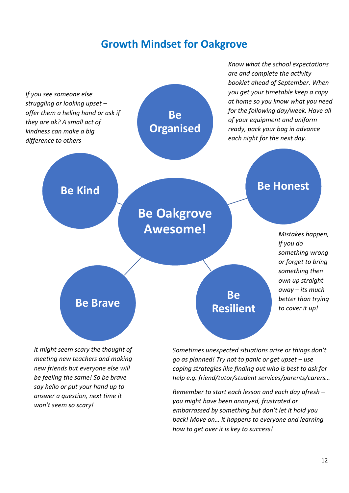### **Growth Mindset for Oakgrove**



*meeting new teachers and making new friends but everyone else will be feeling the same! So be brave say hello or put your hand up to answer a question, next time it won't seem so scary!*

*go as planned! Try not to panic or get upset – use coping strategies like finding out who is best to ask for help e.g. friend/tutor/student services/parents/carers…*

*Know what the school expectations* 

*Remember to start each lesson and each day afresh – you might have been annoyed, frustrated or embarrassed by something but don't let it hold you back! Move on… it happens to everyone and learning how to get over it is key to success!*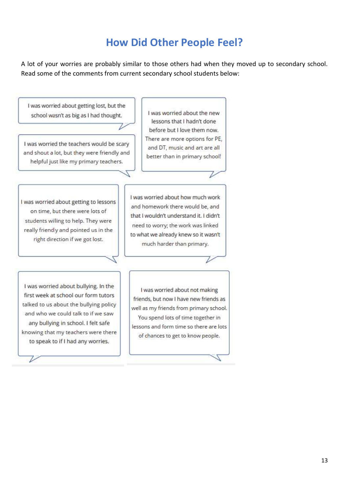## **How Did Other People Feel?**

A lot of your worries are probably similar to those others had when they moved up to secondary school. Read some of the comments from current secondary school students below:

I was worried about getting lost, but the I was worried about the new school wasn't as big as I had thought. lessons that I hadn't done before but I love them now. There are more options for PE, I was worried the teachers would be scary<br>and shout a lot, but they were friendly and and DT, music and art are all better than in primary school! helpful just like my primary teachers. I was worried about how much work I was worried about getting to lessons and homework there would be, and on time, but there were lots of that I wouldn't understand it. I didn't students willing to help. They were need to worry; the work was linked really friendly and pointed us in the to what we already knew so it wasn't right direction if we got lost. much harder than primary. I was worried about bullying. In the I was worried about not making first week at school our form tutors friends, but now I have new friends as talked to us about the bullying policy well as my friends from primary school. and who we could talk to if we saw You spend lots of time together in any bullying in school. I felt safe lessons and form time so there are lots knowing that my teachers were there of chances to get to know people. to speak to if I had any worries. ı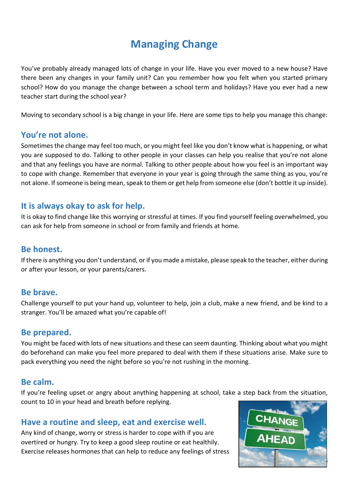## **Managing Change**

You've probably already managed lots of change in your life. Have you ever moved to a new house? Have there been any changes in your family unit? Can you remember how you felt when you started primary school? How do you manage the change between a school term and holidays? Have you ever had a new teacher start during the school year?

Moving to secondary school is a big change in your life. Here are some tips to help you manage this change:

#### **You're not alone.**

Sometimes the change may feel too much, or you might feel like you don't know what is happening, or what you are supposed to do. Talking to other people in your classes can help you realise that you're not alone and that any feelings you have are normal. Talking to other people about how you feel is an important way to cope with change. Remember that everyone in your year is going through the same thing as you, you're not alone. If someone is being mean, speak to them or get help from someone else (don't bottle it up inside).

#### **It is always okay to ask for help.**

It is okay to find change like this worrying or stressful at times. If you find yourself feeling overwhelmed, you can ask for help from someone in school or from family and friends at home.

#### **Be honest.**

If there is anything you don't understand, or if you made a mistake, please speak to the teacher, either during or after your lesson, or your parents/carers.

#### **Be brave.**

Challenge yourself to put your hand up, volunteer to help, join a club, make a new friend, and be kind to a stranger. You'll be amazed what you're capable of!

#### **Be prepared.**

You might be faced with lots of new situations and these can seem daunting. Thinking about what you might do beforehand can make you feel more prepared to deal with them if these situations arise. Make sure to pack everything you need the night before so you're not rushing in the morning.

#### **Be calm.**

If you're feeling upset or angry about anything happening at school, take a step back from the situation, count to 10 in your head and breath before replying.

#### **Have a routine and sleep, eat and exercise well.**

Any kind of change, worry or stress is harder to cope with if you are overtired or hungry. Try to keep a good sleep routine or eat healthily. Exercise releases hormones that can help to reduce any feelings of stress

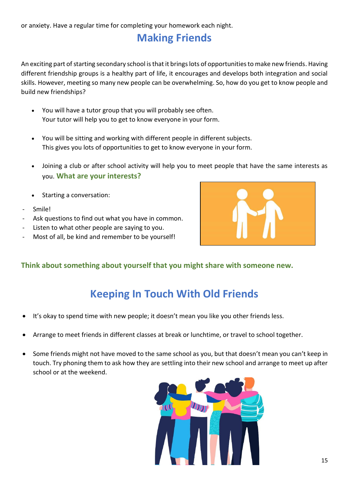## **Making Friends**

An exciting part of starting secondary school is that it brings lots of opportunities to make new friends. Having different friendship groups is a healthy part of life, it encourages and develops both integration and social skills. However, meeting so many new people can be overwhelming. So, how do you get to know people and build new friendships?

- You will have a tutor group that you will probably see often. Your tutor will help you to get to know everyone in your form.
- You will be sitting and working with different people in different subjects. This gives you lots of opportunities to get to know everyone in your form.
- Joining a club or after school activity will help you to meet people that have the same interests as you. **What are your interests?**
- Starting a conversation:
- Smile!
- Ask questions to find out what you have in common.
- Listen to what other people are saying to you.
- Most of all, be kind and remember to be yourself!



#### **Think about something about yourself that you might share with someone new.**

## **Keeping In Touch With Old Friends**

- It's okay to spend time with new people; it doesn't mean you like you other friends less.
- Arrange to meet friends in different classes at break or lunchtime, or travel to school together.
- Some friends might not have moved to the same school as you, but that doesn't mean you can't keep in touch. Try phoning them to ask how they are settling into their new school and arrange to meet up after school or at the weekend.